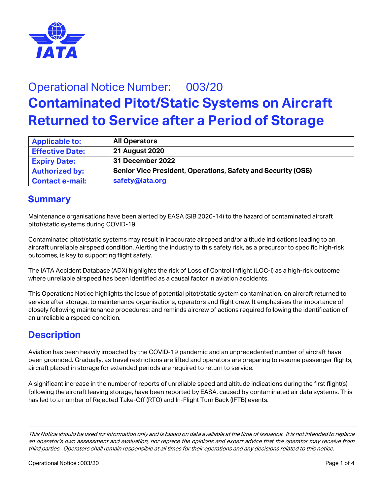

# Operational Notice Number: 003/20 **Contaminated Pitot/Static Systems on Aircraft Returned to Service after a Period of Storage**

| <b>Applicable to:</b>  | <b>All Operators</b>                                                |
|------------------------|---------------------------------------------------------------------|
| <b>Effective Date:</b> | 21 August 2020                                                      |
| <b>Expiry Date:</b>    | 31 December 2022                                                    |
| <b>Authorized by:</b>  | <b>Senior Vice President, Operations, Safety and Security (OSS)</b> |
| <b>Contact e-mail:</b> | safety@iata.org                                                     |

#### **Summary**

Maintenance organisations have been alerted by EASA (SIB 2020-14) to the hazard of contaminated aircraft pitot/static systems during COVID-19.

Contaminated pitot/static systems may result in inaccurate airspeed and/or altitude indications leading to an aircraft unreliable airspeed condition. Alerting the industry to this safety risk, as a precursor to specific high-risk outcomes, is key to supporting flight safety.

The IATA Accident Database (ADX) highlights the risk of Loss of Control Inflight (LOC-I) as a high-risk outcome where unreliable airspeed has been identified as a causal factor in aviation accidents.

This Operations Notice highlights the issue of potential pitot/static system contamination, on aircraft returned to service after storage, to maintenance organisations, operators and flight crew. It emphasises the importance of closely following maintenance procedures; and reminds aircrew of actions required following the identification of an unreliable airspeed condition.

### **Description**

Aviation has been heavily impacted by the COVID-19 pandemic and an unprecedented number of aircraft have been grounded. Gradually, as travel restrictions are lifted and operators are preparing to resume passenger flights, aircraft placed in storage for extended periods are required to return to service.

A significant increase in the number of reports of unreliable speed and altitude indications during the first flight(s) following the aircraft leaving storage, have been reported by EASA, caused by contaminated air data systems. This has led to a number of Rejected Take-Off (RTO) and In-Flight Turn Back (IFTB) events.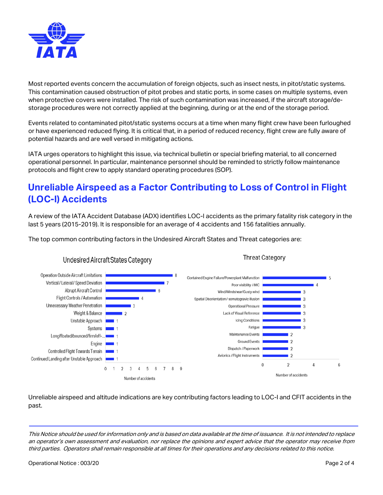

Most reported events concern the accumulation of foreign objects, such as insect nests, in pitot/static systems. This contamination caused obstruction of pitot probes and static ports, in some cases on multiple systems, even when protective covers were installed. The risk of such contamination was increased, if the aircraft storage/destorage procedures were not correctly applied at the beginning, during or at the end of the storage period.

Events related to contaminated pitot/static systems occurs at a time when many flight crew have been furloughed or have experienced reduced flying. It is critical that, in a period of reduced recency, flight crew are fully aware of potential hazards and are well versed in mitigating actions.

IATA urges operators to highlight this issue, via technical bulletin or special briefing material, to all concerned operational personnel. In particular, maintenance personnel should be reminded to strictly follow maintenance protocols and flight crew to apply standard operating procedures (SOP).

## **Unreliable Airspeed as a Factor Contributing to Loss of Control in Flight (LOC-I) Accidents**

A review of the IATA Accident Database (ADX) identifies LOC-I accidents as the primary fatality risk category in the last 5 years (2015-2019). It is responsible for an average of 4 accidents and 156 fatalities annually.

**Threat Category** 

The top common contributing factors in the Undesired Aircraft States and Threat categories are:



#### **Undesired Aircraft States Category**

Unreliable airspeed and altitude indications are key contributing factors leading to LOC-I and CFIT accidents in the past.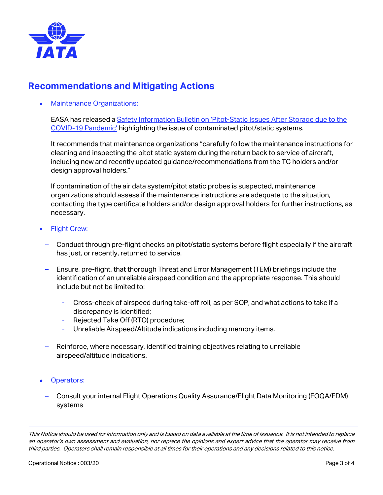

#### **Recommendations and Mitigating Actions**

• Maintenance Organizations:

EASA has released a [Safety Information Bulletin on 'Pitot-Static Issues After Storage due to the](https://ad.easa.europa.eu/ad/2020-14)  [COVID-19 Pandemic'](https://ad.easa.europa.eu/ad/2020-14) highlighting the issue of contaminated pitot/static systems.

It recommends that maintenance organizations "carefully follow the maintenance instructions for cleaning and inspecting the pitot static system during the return back to service of aircraft, including new and recently updated guidance/recommendations from the TC holders and/or design approval holders."

If contamination of the air data system/pitot static probes is suspected, maintenance organizations should assess if the maintenance instructions are adequate to the situation, contacting the type certificate holders and/or design approval holders for further instructions, as necessary.

- **Flight Crew:** 
	- Conduct through pre-flight checks on pitot/static systems before flight especially if the aircraft has just, or recently, returned to service.
	- Ensure, pre-flight, that thorough Threat and Error Management (TEM) briefings include the identification of an unreliable airspeed condition and the appropriate response. This should include but not be limited to:
		- ‑ Cross-check of airspeed during take-off roll, as per SOP, and what actions to take if a discrepancy is identified;
		- ‑ Rejected Take Off (RTO) procedure;
		- Unreliable Airspeed/Altitude indications including memory items.
	- Reinforce, where necessary, identified training objectives relating to unreliable airspeed/altitude indications.
- Operators:
	- Consult your internal Flight Operations Quality Assurance/Flight Data Monitoring (FOQA/FDM) systems